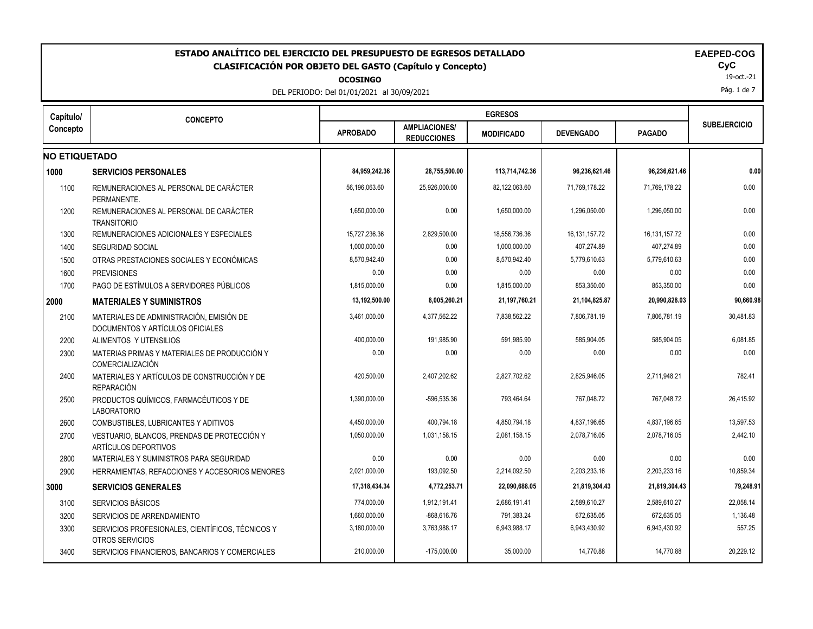| <b>ESTADO ANALÍTICO DEL EJERCICIO DEL PRESUPUESTO DE EGRESOS DETALLADO</b><br><b>EAEPED-COG</b><br><b>CLASIFICACIÓN POR OBJETO DEL GASTO (Capítulo y Concepto)</b><br><b>OCOSINGO</b><br>DEL PERIODO: Del 01/01/2021 al 30/09/2021 |                                                                              |                 |                                            |                   |                  |                  |                     |  |
|------------------------------------------------------------------------------------------------------------------------------------------------------------------------------------------------------------------------------------|------------------------------------------------------------------------------|-----------------|--------------------------------------------|-------------------|------------------|------------------|---------------------|--|
| Capítulo/                                                                                                                                                                                                                          | <b>CONCEPTO</b>                                                              |                 |                                            | <b>EGRESOS</b>    |                  |                  |                     |  |
| Concepto                                                                                                                                                                                                                           |                                                                              | <b>APROBADO</b> | <b>AMPLIACIONES/</b><br><b>REDUCCIONES</b> | <b>MODIFICADO</b> | <b>DEVENGADO</b> | <b>PAGADO</b>    | <b>SUBEJERCICIO</b> |  |
| <b>NO ETIQUETADO</b>                                                                                                                                                                                                               |                                                                              |                 |                                            |                   |                  |                  |                     |  |
| 1000                                                                                                                                                                                                                               | <b>SERVICIOS PERSONALES</b>                                                  | 84,959,242.36   | 28,755,500.00                              | 113,714,742.36    | 96,236,621.46    | 96,236,621.46    | 0.00                |  |
| 1100                                                                                                                                                                                                                               | REMUNERACIONES AL PERSONAL DE CARÁCTER<br>PFRMANFNTF                         | 56,196,063.60   | 25,926,000.00                              | 82,122,063.60     | 71,769,178.22    | 71,769,178.22    | 0.00                |  |
| 1200                                                                                                                                                                                                                               | REMUNERACIONES AL PERSONAL DE CARÁCTER<br><b>TRANSITORIO</b>                 | 1,650,000.00    | 0.00                                       | 1,650,000.00      | 1,296,050.00     | 1,296,050.00     | 0.00                |  |
| 1300                                                                                                                                                                                                                               | REMUNERACIONES ADICIONALES Y ESPECIALES                                      | 15,727,236.36   | 2,829,500.00                               | 18,556,736.36     | 16, 131, 157. 72 | 16, 131, 157. 72 | 0.00                |  |
| 1400                                                                                                                                                                                                                               | <b>SEGURIDAD SOCIAL</b>                                                      | 1,000,000.00    | 0.00                                       | 1,000,000.00      | 407,274.89       | 407,274.89       | 0.00                |  |
| 1500                                                                                                                                                                                                                               | OTRAS PRESTACIONES SOCIALES Y ECONÓMICAS                                     | 8,570,942.40    | 0.00                                       | 8,570,942.40      | 5,779,610.63     | 5,779,610.63     | 0.00                |  |
| 1600                                                                                                                                                                                                                               | <b>PREVISIONES</b>                                                           | 0.00            | 0.00                                       | 0.00              | 0.00             | 0.00             | 0.00                |  |
| 1700                                                                                                                                                                                                                               | PAGO DE ESTÍMULOS A SERVIDORES PÚBLICOS                                      | 1,815,000.00    | 0.00                                       | 1,815,000.00      | 853,350.00       | 853,350.00       | 0.00                |  |
| 2000                                                                                                                                                                                                                               | <b>MATERIALES Y SUMINISTROS</b>                                              | 13,192,500.00   | 8,005,260.21                               | 21,197,760.21     | 21,104,825.87    | 20,990,828.03    | 90,660.98           |  |
| 2100                                                                                                                                                                                                                               | MATERIALES DE ADMINISTRACIÓN, EMISIÓN DE<br>DOCUMENTOS Y ARTÍCULOS OFICIALES | 3,461,000.00    | 4,377,562.22                               | 7,838,562.22      | 7,806,781.19     | 7,806,781.19     | 30,481.83           |  |
| 2200                                                                                                                                                                                                                               | ALIMENTOS Y UTENSILIOS                                                       | 400,000.00      | 191,985.90                                 | 591.985.90        | 585.904.05       | 585,904.05       | 6,081.85            |  |
| 2300                                                                                                                                                                                                                               | MATERIAS PRIMAS Y MATERIALES DE PRODUCCIÓN Y<br>COMERCIALIZACIÓN             | 0.00            | 0.00                                       | 0.00              | 0.00             | 0.00             | 0.00                |  |
| 2400                                                                                                                                                                                                                               | MATERIALES Y ARTÍCULOS DE CONSTRUCCIÓN Y DE<br><b>REPARACIÓN</b>             | 420,500.00      | 2,407,202.62                               | 2,827,702.62      | 2,825,946.05     | 2,711,948.21     | 782.41              |  |
| 2500                                                                                                                                                                                                                               | PRODUCTOS QUÍMICOS, FARMACÉUTICOS Y DE<br><b>LABORATORIO</b>                 | 1,390,000.00    | -596,535.36                                | 793,464.64        | 767,048.72       | 767,048.72       | 26,415.92           |  |
| 2600                                                                                                                                                                                                                               | <b>COMBUSTIBLES, LUBRICANTES Y ADITIVOS</b>                                  | 4,450,000.00    | 400,794.18                                 | 4,850,794.18      | 4,837,196.65     | 4,837,196.65     | 13,597.53           |  |
| 2700                                                                                                                                                                                                                               | VESTUARIO, BLANCOS, PRENDAS DE PROTECCIÓN Y<br>ARTÍCULOS DEPORTIVOS          | 1,050,000.00    | 1,031,158.15                               | 2,081,158.15      | 2,078,716.05     | 2,078,716.05     | 2,442.10            |  |
| 2800                                                                                                                                                                                                                               | MATERIALES Y SUMINISTROS PARA SEGURIDAD                                      | 0.00            | 0.00                                       | 0.00              | 0.00             | 0.00             | 0.00                |  |
| 2900                                                                                                                                                                                                                               | HERRAMIENTAS, REFACCIONES Y ACCESORIOS MENORES                               | 2,021,000.00    | 193,092.50                                 | 2,214,092.50      | 2,203,233.16     | 2,203,233.16     | 10,859.34           |  |
|                                                                                                                                                                                                                                    | <b>SERVICIOS GENERALES</b>                                                   | 17,318,434.34   | 4,772,253.71                               | 22,090,688.05     | 21,819,304.43    | 21,819,304.43    | 79,248.91           |  |
| 3100                                                                                                                                                                                                                               | <b>SERVICIOS BÁSICOS</b>                                                     | 774,000.00      | 1,912,191.41                               | 2,686,191.41      | 2,589,610.27     | 2,589,610.27     | 22,058.14           |  |
| 3200                                                                                                                                                                                                                               | SERVICIOS DE ARRENDAMIENTO                                                   | 1,660,000.00    | $-868,616.76$                              | 791.383.24        | 672,635.05       | 672,635.05       | 1,136.48            |  |
| 3300                                                                                                                                                                                                                               | SERVICIOS PROFESIONALES, CIENTÍFICOS, TÉCNICOS Y<br>OTROS SERVICIOS          | 3,180,000.00    | 3,763,988.17                               | 6,943,988.17      | 6,943,430.92     | 6,943,430.92     | 557.25              |  |
| 3400                                                                                                                                                                                                                               | SERVICIOS FINANCIEROS, BANCARIOS Y COMERCIALES                               | 210,000.00      | $-175,000.00$                              | 35,000.00         | 14,770.88        | 14,770.88        | 20,229.12           |  |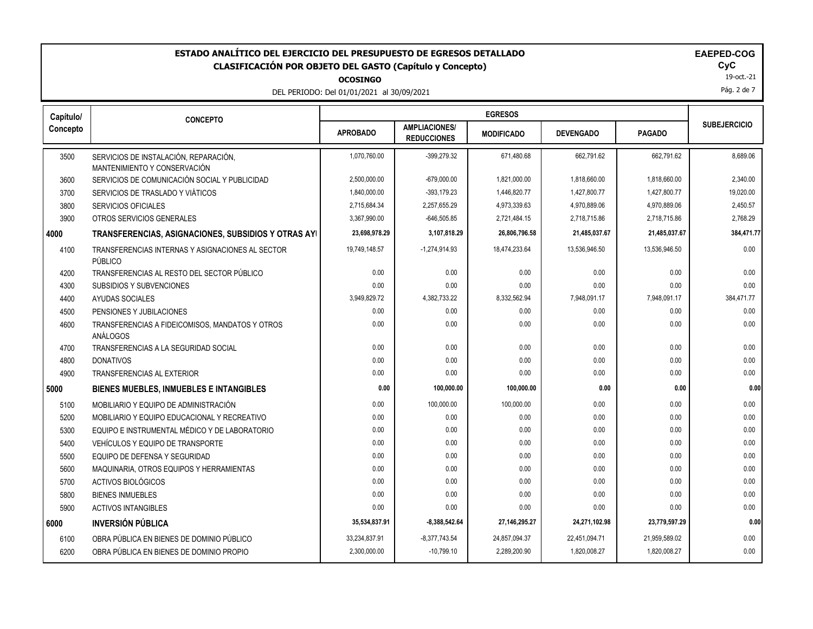**OCOSINGO**

DEL PERIODO: Del 01/01/2021 al 30/09/2021

|  | <b>EAEPED-CC</b> |  |  |  |
|--|------------------|--|--|--|
|  |                  |  |  |  |

19-oct.-21

Pág. 2 de 7

| Capítulo/ | <b>CONCEPTO</b>                                                       |                 |                                            | <b>EGRESOS</b>    |                  |               |                     |
|-----------|-----------------------------------------------------------------------|-----------------|--------------------------------------------|-------------------|------------------|---------------|---------------------|
| Concepto  |                                                                       | <b>APROBADO</b> | <b>AMPLIACIONES/</b><br><b>REDUCCIONES</b> | <b>MODIFICADO</b> | <b>DEVENGADO</b> | <b>PAGADO</b> | <b>SUBEJERCICIO</b> |
| 3500      | SERVICIOS DE INSTALACIÓN, REPARACIÓN,<br>MANTENIMIENTO Y CONSERVACIÓN | 1,070,760.00    | -399,279.32                                | 671,480.68        | 662,791.62       | 662,791.62    | 8,689.06            |
| 3600      | SERVICIOS DE COMUNICACIÓN SOCIAL Y PUBLICIDAD                         | 2,500,000.00    | -679,000.00                                | 1,821,000.00      | 1,818,660.00     | 1,818,660.00  | 2,340.00            |
| 3700      | SERVICIOS DE TRASLADO Y VIÁTICOS                                      | 1,840,000.00    | $-393, 179.23$                             | 1,446,820.77      | 1,427,800.77     | 1,427,800.77  | 19,020.00           |
| 3800      | <b>SERVICIOS OFICIALES</b>                                            | 2,715,684.34    | 2,257,655.29                               | 4,973,339.63      | 4,970,889.06     | 4,970,889.06  | 2,450.57            |
| 3900      | OTROS SERVICIOS GENERALES                                             | 3,367,990.00    | $-646,505.85$                              | 2,721,484.15      | 2.718.715.86     | 2,718,715.86  | 2,768.29            |
| 4000      | TRANSFERENCIAS, ASIGNACIONES, SUBSIDIOS Y OTRAS AYI                   | 23,698,978.29   | 3,107,818.29                               | 26,806,796.58     | 21,485,037.67    | 21,485,037.67 | 384,471.77          |
| 4100      | TRANSFERENCIAS INTERNAS Y ASIGNACIONES AL SECTOR<br>PÚBLICO           | 19,749,148.57   | $-1,274,914.93$                            | 18,474,233.64     | 13,536,946.50    | 13,536,946.50 | 0.00                |
| 4200      | TRANSFERENCIAS AL RESTO DEL SECTOR PÚBLICO                            | 0.00            | 0.00                                       | 0.00              | 0.00             | 0.00          | 0.00                |
| 4300      | SUBSIDIOS Y SUBVENCIONES                                              | 0.00            | 0.00                                       | 0.00              | 0.00             | 0.00          | 0.00                |
| 4400      | AYUDAS SOCIALES                                                       | 3,949,829.72    | 4,382,733.22                               | 8,332,562.94      | 7,948,091.17     | 7,948,091.17  | 384,471.77          |
| 4500      | PENSIONES Y JUBILACIONES                                              | 0.00            | 0.00                                       | 0.00              | 0.00             | 0.00          | 0.00                |
| 4600      | TRANSFERENCIAS A FIDEICOMISOS, MANDATOS Y OTROS<br>ANÁLOGOS           | 0.00            | 0.00                                       | 0.00              | 0.00             | 0.00          | 0.00                |
| 4700      | TRANSFERENCIAS A LA SEGURIDAD SOCIAL                                  | 0.00            | 0.00                                       | 0.00              | 0.00             | 0.00          | 0.00                |
| 4800      | <b>DONATIVOS</b>                                                      | 0.00            | 0.00                                       | 0.00              | 0.00             | 0.00          | 0.00                |
| 4900      | <b>TRANSFERENCIAS AL EXTERIOR</b>                                     | 0.00            | 0.00                                       | 0.00              | 0.00             | 0.00          | 0.00                |
| 5000      | <b>BIENES MUEBLES, INMUEBLES E INTANGIBLES</b>                        | 0.00            | 100,000.00                                 | 100,000.00        | 0.00             | 0.00          | 0.00                |
| 5100      | MOBILIARIO Y EQUIPO DE ADMINISTRACIÓN                                 | 0.00            | 100,000.00                                 | 100,000.00        | 0.00             | 0.00          | 0.00                |
| 5200      | MOBILIARIO Y EQUIPO EDUCACIONAL Y RECREATIVO                          | 0.00            | 0.00                                       | 0.00              | 0.00             | 0.00          | 0.00                |
| 5300      | EQUIPO E INSTRUMENTAL MÉDICO Y DE LABORATORIO                         | 0.00            | 0.00                                       | 0.00              | 0.00             | 0.00          | 0.00                |
| 5400      | VEHÍCULOS Y EQUIPO DE TRANSPORTE                                      | 0.00            | 0.00                                       | 0.00              | 0.00             | 0.00          | 0.00                |
| 5500      | EQUIPO DE DEFENSA Y SEGURIDAD                                         | 0.00            | 0.00                                       | 0.00              | 0.00             | 0.00          | 0.00                |
| 5600      | MAQUINARIA, OTROS EQUIPOS Y HERRAMIENTAS                              | 0.00            | 0.00                                       | 0.00              | 0.00             | 0.00          | 0.00                |
| 5700      | ACTIVOS BIOLÓGICOS                                                    | 0.00            | 0.00                                       | 0.00              | 0.00             | 0.00          | 0.00                |
| 5800      | <b>BIENES INMUEBLES</b>                                               | 0.00            | 0.00                                       | 0.00              | 0.00             | 0.00          | 0.00                |
| 5900      | <b>ACTIVOS INTANGIBLES</b>                                            | 0.00            | 0.00                                       | 0.00              | 0.00             | 0.00          | 0.00                |
| 6000      | <b>INVERSIÓN PÚBLICA</b>                                              | 35,534,837.91   | $-8,388,542.64$                            | 27,146,295.27     | 24,271,102.98    | 23,779,597.29 | 0.00                |
| 6100      | OBRA PÚBLICA EN BIENES DE DOMINIO PÚBLICO                             | 33,234,837.91   | $-8,377,743.54$                            | 24,857,094.37     | 22,451,094.71    | 21,959,589.02 | 0.00                |
| 6200      | OBRA PÚBLICA EN BIENES DE DOMINIO PROPIO                              | 2,300,000.00    | $-10,799.10$                               | 2,289,200.90      | 1,820,008.27     | 1,820,008.27  | 0.00                |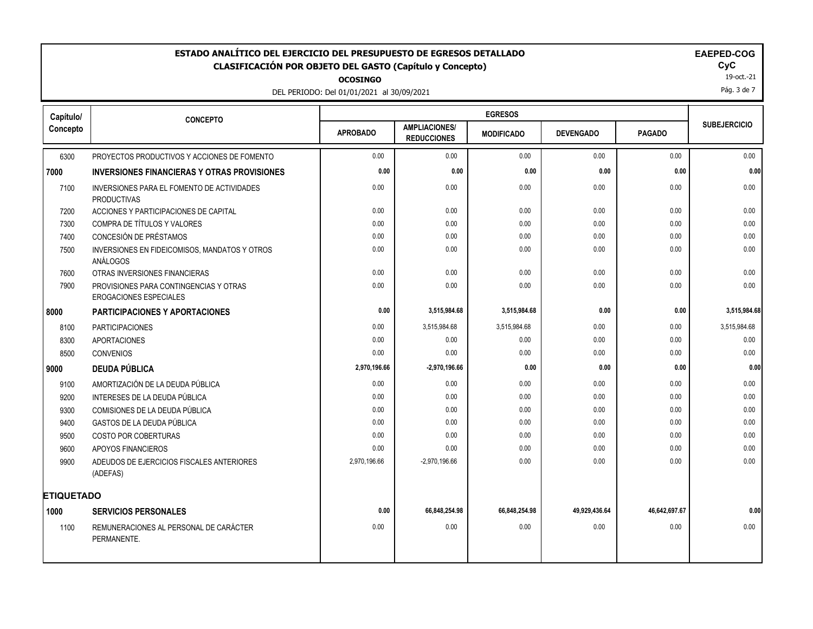**OCOSINGO**

DEL PERIODO: Del 01/01/2021 al 30/09/2021

| AEPEL | л, |
|-------|----|
|       |    |

19-oct.-21

Pág. 3 de 7

| Capítulo/         | <b>CONCEPTO</b>                                                         |                 |                                            | <b>EGRESOS</b>    |                  |               |                     |
|-------------------|-------------------------------------------------------------------------|-----------------|--------------------------------------------|-------------------|------------------|---------------|---------------------|
| Concepto          |                                                                         | <b>APROBADO</b> | <b>AMPLIACIONES/</b><br><b>REDUCCIONES</b> | <b>MODIFICADO</b> | <b>DEVENGADO</b> | <b>PAGADO</b> | <b>SUBEJERCICIO</b> |
| 6300              | PROYECTOS PRODUCTIVOS Y ACCIONES DE FOMENTO                             | 0.00            | 0.00                                       | 0.00              | 0.00             | 0.00          | 0.00                |
| 7000              | <b>INVERSIONES FINANCIERAS Y OTRAS PROVISIONES</b>                      | 0.00            | 0.00                                       | 0.00              | 0.00             | 0.00          | 0.00                |
| 7100              | INVERSIONES PARA EL FOMENTO DE ACTIVIDADES<br><b>PRODUCTIVAS</b>        | 0.00            | 0.00                                       | 0.00              | 0.00             | 0.00          | 0.00                |
| 7200              | ACCIONES Y PARTICIPACIONES DE CAPITAL                                   | 0.00            | 0.00                                       | 0.00              | 0.00             | 0.00          | 0.00                |
| 7300              | COMPRA DE TÍTULOS Y VALORES                                             | 0.00            | 0.00                                       | 0.00              | 0.00             | 0.00          | 0.00                |
| 7400              | CONCESIÓN DE PRÉSTAMOS                                                  | 0.00            | 0.00                                       | 0.00              | 0.00             | 0.00          | 0.00                |
| 7500              | INVERSIONES EN FIDEICOMISOS, MANDATOS Y OTROS<br>ANÁLOGOS               | 0.00            | 0.00                                       | 0.00              | 0.00             | 0.00          | 0.00                |
| 7600              | OTRAS INVERSIONES FINANCIERAS                                           | 0.00            | 0.00                                       | 0.00              | 0.00             | 0.00          | 0.00                |
| 7900              | PROVISIONES PARA CONTINGENCIAS Y OTRAS<br><b>EROGACIONES ESPECIALES</b> | 0.00            | 0.00                                       | 0.00              | 0.00             | 0.00          | 0.00                |
| 8000              | <b>PARTICIPACIONES Y APORTACIONES</b>                                   | 0.00            | 3,515,984.68                               | 3,515,984.68      | 0.00             | 0.00          | 3,515,984.68        |
| 8100              | <b>PARTICIPACIONES</b>                                                  | 0.00            | 3,515,984.68                               | 3,515,984.68      | 0.00             | 0.00          | 3,515,984.68        |
| 8300              | <b>APORTACIONES</b>                                                     | 0.00            | 0.00                                       | 0.00              | 0.00             | 0.00          | 0.00                |
| 8500              | <b>CONVENIOS</b>                                                        | 0.00            | 0.00                                       | 0.00              | 0.00             | 0.00          | 0.00                |
| 9000              | <b>DEUDA PÚBLICA</b>                                                    | 2,970,196.66    | $-2,970,196.66$                            | 0.00              | 0.00             | 0.00          | 0.00                |
| 9100              | AMORTIZACIÓN DE LA DEUDA PÚBLICA                                        | 0.00            | 0.00                                       | 0.00              | 0.00             | 0.00          | 0.00                |
| 9200              | INTERESES DE LA DEUDA PÚBLICA                                           | 0.00            | 0.00                                       | 0.00              | 0.00             | 0.00          | 0.00                |
| 9300              | COMISIONES DE LA DEUDA PÚBLICA                                          | 0.00            | 0.00                                       | 0.00              | 0.00             | 0.00          | 0.00                |
| 9400              | GASTOS DE LA DEUDA PÚBLICA                                              | 0.00            | 0.00                                       | 0.00              | 0.00             | 0.00          | 0.00                |
| 9500              | COSTO POR COBERTURAS                                                    | 0.00            | 0.00                                       | 0.00              | 0.00             | 0.00          | 0.00                |
| 9600              | APOYOS FINANCIEROS                                                      | 0.00            | 0.00                                       | 0.00              | 0.00             | 0.00          | 0.00                |
| 9900              | ADEUDOS DE EJERCICIOS FISCALES ANTERIORES<br>(ADEFAS)                   | 2,970,196.66    | $-2,970,196.66$                            | 0.00              | 0.00             | 0.00          | 0.00                |
| <b>ETIQUETADO</b> |                                                                         |                 |                                            |                   |                  |               |                     |
| 1000              | <b>SERVICIOS PERSONALES</b>                                             | 0.00            | 66,848,254.98                              | 66,848,254.98     | 49,929,436.64    | 46,642,697.67 | 0.00                |
| 1100              | REMUNERACIONES AL PERSONAL DE CARÁCTER<br>PERMANENTE.                   | 0.00            | 0.00                                       | 0.00              | 0.00             | 0.00          | 0.00                |
|                   |                                                                         |                 |                                            |                   |                  |               |                     |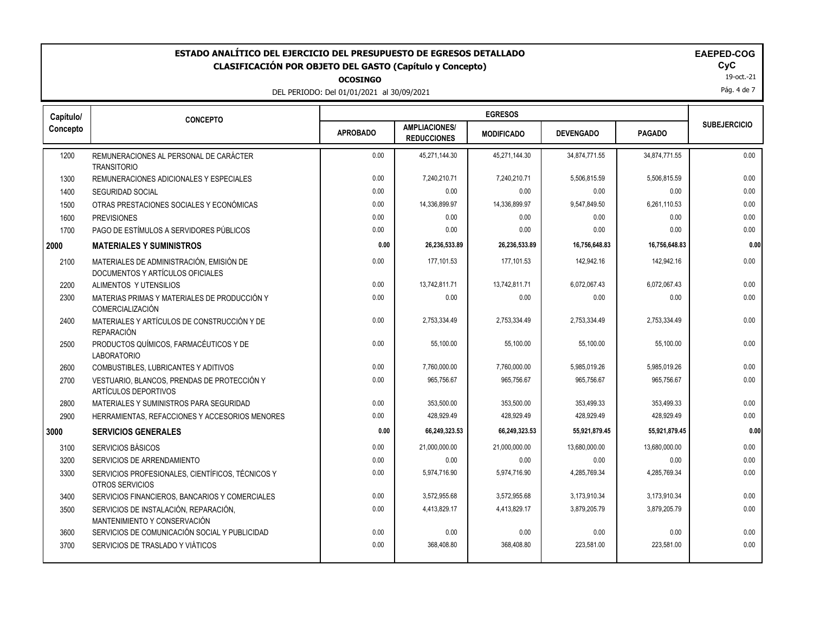**OCOSINGO**

DEL PERIODO: Del 01/01/2021 al 30/09/2021

| чрчу, |  |  |  |
|-------|--|--|--|
|       |  |  |  |
|       |  |  |  |

19-oct.-21

Pág. 4 de 7

| Capítulo/ | <b>CONCEPTO</b>                                                              |                 | <b>EGRESOS</b>                             |                   |                  |               |                     |
|-----------|------------------------------------------------------------------------------|-----------------|--------------------------------------------|-------------------|------------------|---------------|---------------------|
| Concepto  |                                                                              | <b>APROBADO</b> | <b>AMPLIACIONES/</b><br><b>REDUCCIONES</b> | <b>MODIFICADO</b> | <b>DEVENGADO</b> | <b>PAGADO</b> | <b>SUBEJERCICIO</b> |
| 1200      | REMUNERACIONES AL PERSONAL DE CARÁCTER<br><b>TRANSITORIO</b>                 | 0.00            | 45,271,144.30                              | 45,271,144.30     | 34,874,771.55    | 34,874,771.55 | 0.00                |
| 1300      | REMUNERACIONES ADICIONALES Y ESPECIALES                                      | 0.00            | 7,240,210.71                               | 7,240,210.71      | 5,506,815.59     | 5,506,815.59  | 0.00                |
| 1400      | <b>SEGURIDAD SOCIAL</b>                                                      | 0.00            | 0.00                                       | 0.00              | 0.00             | 0.00          | 0.00                |
| 1500      | OTRAS PRESTACIONES SOCIALES Y ECONÓMICAS                                     | 0.00            | 14,336,899.97                              | 14,336,899.97     | 9,547,849.50     | 6,261,110.53  | 0.00                |
| 1600      | <b>PREVISIONES</b>                                                           | 0.00            | 0.00                                       | 0.00              | 0.00             | 0.00          | 0.00                |
| 1700      | PAGO DE ESTÍMULOS A SERVIDORES PÚBLICOS                                      | 0.00            | 0.00                                       | 0.00              | 0.00             | 0.00          | 0.00                |
| 2000      | <b>MATERIALES Y SUMINISTROS</b>                                              | 0.00            | 26,236,533.89                              | 26,236,533.89     | 16,756,648.83    | 16,756,648.83 | 0.00                |
| 2100      | MATERIALES DE ADMINISTRACIÓN, EMISIÓN DE<br>DOCUMENTOS Y ARTÍCULOS OFICIALES | 0.00            | 177.101.53                                 | 177.101.53        | 142.942.16       | 142.942.16    | 0.00                |
| 2200      | ALIMENTOS Y UTENSILIOS                                                       | 0.00            | 13,742,811.71                              | 13,742,811.71     | 6,072,067.43     | 6,072,067.43  | 0.00                |
| 2300      | MATERIAS PRIMAS Y MATERIALES DE PRODUCCIÓN Y<br><b>COMERCIALIZACIÓN</b>      | 0.00            | 0.00                                       | 0.00              | 0.00             | 0.00          | 0.00                |
| 2400      | MATERIALES Y ARTÍCULOS DE CONSTRUCCIÓN Y DE<br><b>REPARACIÓN</b>             | 0.00            | 2,753,334.49                               | 2,753,334.49      | 2,753,334.49     | 2,753,334.49  | 0.00                |
| 2500      | PRODUCTOS QUÍMICOS, FARMACÉUTICOS Y DE<br><b>LABORATORIO</b>                 | 0.00            | 55,100.00                                  | 55,100.00         | 55,100.00        | 55.100.00     | 0.00                |
| 2600      | COMBUSTIBLES, LUBRICANTES Y ADITIVOS                                         | 0.00            | 7,760,000.00                               | 7,760,000.00      | 5,985,019.26     | 5,985,019.26  | 0.00                |
| 2700      | VESTUARIO, BLANCOS, PRENDAS DE PROTECCIÓN Y<br>ARTÍCULOS DEPORTIVOS          | 0.00            | 965,756.67                                 | 965,756.67        | 965,756.67       | 965,756.67    | 0.00                |
| 2800      | MATERIALES Y SUMINISTROS PARA SEGURIDAD                                      | 0.00            | 353,500.00                                 | 353,500.00        | 353,499.33       | 353,499.33    | 0.00                |
| 2900      | HERRAMIENTAS, REFACCIONES Y ACCESORIOS MENORES                               | 0.00            | 428.929.49                                 | 428.929.49        | 428.929.49       | 428.929.49    | 0.00                |
| 3000      | <b>SERVICIOS GENERALES</b>                                                   | 0.00            | 66,249,323.53                              | 66,249,323.53     | 55,921,879.45    | 55,921,879.45 | 0.00                |
| 3100      | SERVICIOS BÁSICOS                                                            | 0.00            | 21,000,000.00                              | 21,000,000.00     | 13,680,000.00    | 13,680,000.00 | 0.00                |
| 3200      | SERVICIOS DE ARRENDAMIENTO                                                   | 0.00            | 0.00                                       | 0.00              | 0.00             | 0.00          | 0.00                |
| 3300      | SERVICIOS PROFESIONALES, CIENTÍFICOS, TÉCNICOS Y<br>OTROS SERVICIOS          | 0.00            | 5,974,716.90                               | 5,974,716.90      | 4,285,769.34     | 4,285,769.34  | 0.00                |
| 3400      | SERVICIOS FINANCIEROS, BANCARIOS Y COMERCIALES                               | 0.00            | 3,572,955.68                               | 3,572,955.68      | 3,173,910.34     | 3,173,910.34  | 0.00                |
| 3500      | SERVICIOS DE INSTALACIÓN, REPARACIÓN,<br>MANTENIMIENTO Y CONSERVACIÓN        | 0.00            | 4,413,829.17                               | 4,413,829.17      | 3,879,205.79     | 3,879,205.79  | 0.00                |
| 3600      | SERVICIOS DE COMUNICACIÓN SOCIAL Y PUBLICIDAD                                | 0.00            | 0.00                                       | 0.00              | 0.00             | 0.00          | 0.00                |
| 3700      | SERVICIOS DE TRASLADO Y VIÁTICOS                                             | 0.00            | 368,408.80                                 | 368,408.80        | 223,581.00       | 223,581.00    | 0.00                |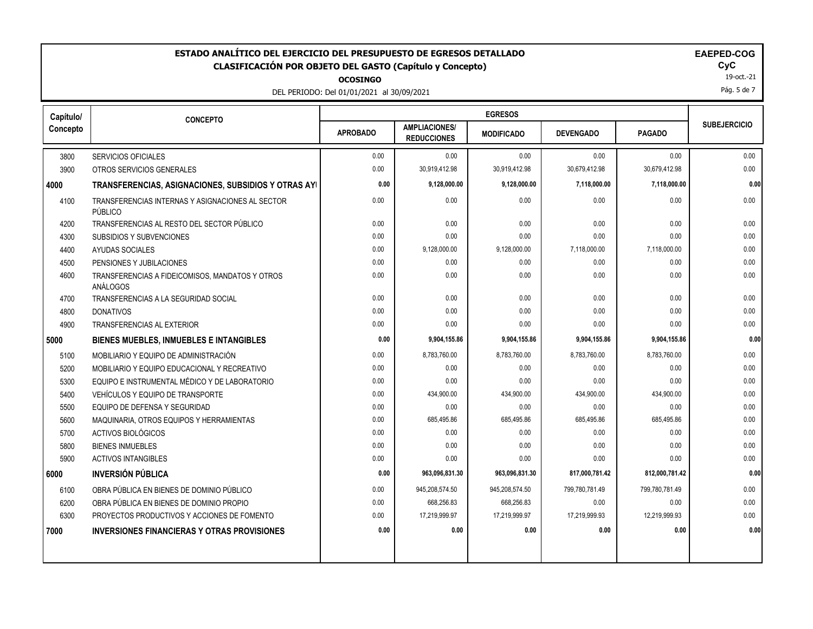### ESTADO ANALÍTICO DEL EJERCICIO DEL PRESUPUESTO DE EGRESOS DETALLADO<br>CLASIFICACIÓN POR OBJETO DEL GASTO (Capítulo y Concepto) **EXACTES DE ACASIFICACIÓN POR OBJETO** DEL GASTO (Capítulo y Concepto) **CLASIFICACIÓN POR OBJETO DEL GASTO (Capítulo y Concepto) CyC**

**OCOSINGO**

DEL PERIODO: Del 01/01/2021 al 30/09/2021

19-oct.-21

Pág. 5 de 7

| Capítulo/ | <b>CONCEPTO</b>                                             |                 |                                            | <b>EGRESOS</b>    |                  |                |                     |
|-----------|-------------------------------------------------------------|-----------------|--------------------------------------------|-------------------|------------------|----------------|---------------------|
| Concepto  |                                                             | <b>APROBADO</b> | <b>AMPLIACIONES/</b><br><b>REDUCCIONES</b> | <b>MODIFICADO</b> | <b>DEVENGADO</b> | <b>PAGADO</b>  | <b>SUBEJERCICIO</b> |
| 3800      | <b>SERVICIOS OFICIALES</b>                                  | 0.00            | 0.00                                       | 0.00              | 0.00             | 0.00           | 0.00                |
| 3900      | OTROS SERVICIOS GENERALES                                   | 0.00            | 30,919,412.98                              | 30,919,412.98     | 30,679,412.98    | 30,679,412.98  | 0.00                |
| 4000      | TRANSFERENCIAS, ASIGNACIONES, SUBSIDIOS Y OTRAS AYI         | 0.00            | 9,128,000.00                               | 9,128,000.00      | 7,118,000.00     | 7,118,000.00   | 0.00                |
| 4100      | TRANSFERENCIAS INTERNAS Y ASIGNACIONES AL SECTOR<br>PÚBLICO | 0.00            | 0.00                                       | 0.00              | 0.00             | 0.00           | 0.00                |
| 4200      | TRANSFERENCIAS AL RESTO DEL SECTOR PÚBLICO                  | 0.00            | 0.00                                       | 0.00              | 0.00             | 0.00           | 0.00                |
| 4300      | SUBSIDIOS Y SUBVENCIONES                                    | 0.00            | 0.00                                       | 0.00              | 0.00             | 0.00           | 0.00                |
| 4400      | AYUDAS SOCIALES                                             | 0.00            | 9,128,000.00                               | 9,128,000.00      | 7,118,000.00     | 7,118,000.00   | 0.00                |
| 4500      | PENSIONES Y JUBILACIONES                                    | 0.00            | 0.00                                       | 0.00              | 0.00             | 0.00           | 0.00                |
| 4600      | TRANSFERENCIAS A FIDEICOMISOS, MANDATOS Y OTROS<br>ANÁLOGOS | 0.00            | 0.00                                       | 0.00              | 0.00             | 0.00           | 0.00                |
| 4700      | TRANSFERENCIAS A LA SEGURIDAD SOCIAL                        | 0.00            | 0.00                                       | 0.00              | 0.00             | 0.00           | 0.00                |
| 4800      | <b>DONATIVOS</b>                                            | 0.00            | 0.00                                       | 0.00              | 0.00             | 0.00           | 0.00                |
| 4900      | <b>TRANSFERENCIAS AL EXTERIOR</b>                           | 0.00            | 0.00                                       | 0.00              | 0.00             | 0.00           | 0.00                |
| 5000      | <b>BIENES MUEBLES, INMUEBLES E INTANGIBLES</b>              | 0.00            | 9,904,155.86                               | 9,904,155.86      | 9,904,155.86     | 9,904,155.86   | 0.00                |
| 5100      | MOBILIARIO Y EQUIPO DE ADMINISTRACIÓN                       | 0.00            | 8,783,760.00                               | 8,783,760.00      | 8,783,760.00     | 8,783,760.00   | 0.00                |
| 5200      | MOBILIARIO Y EQUIPO EDUCACIONAL Y RECREATIVO                | 0.00            | 0.00                                       | 0.00              | 0.00             | 0.00           | 0.00                |
| 5300      | EQUIPO E INSTRUMENTAL MÉDICO Y DE LABORATORIO               | 0.00            | 0.00                                       | 0.00              | 0.00             | 0.00           | 0.00                |
| 5400      | VEHÍCULOS Y EQUIPO DE TRANSPORTE                            | 0.00            | 434,900.00                                 | 434,900.00        | 434,900.00       | 434,900.00     | 0.00                |
| 5500      | EQUIPO DE DEFENSA Y SEGURIDAD                               | 0.00            | 0.00                                       | 0.00              | 0.00             | 0.00           | 0.00                |
| 5600      | MAQUINARIA, OTROS EQUIPOS Y HERRAMIENTAS                    | 0.00            | 685,495.86                                 | 685,495.86        | 685,495.86       | 685,495.86     | 0.00                |
| 5700      | ACTIVOS BIOLÓGICOS                                          | 0.00            | 0.00                                       | 0.00              | 0.00             | 0.00           | 0.00                |
| 5800      | <b>BIENES INMUEBLES</b>                                     | 0.00            | 0.00                                       | 0.00              | 0.00             | 0.00           | 0.00                |
| 5900      | <b>ACTIVOS INTANGIBLES</b>                                  | 0.00            | 0.00                                       | 0.00              | 0.00             | 0.00           | 0.00                |
| 6000      | <b>INVERSIÓN PÚBLICA</b>                                    | 0.00            | 963,096,831.30                             | 963,096,831.30    | 817,000,781.42   | 812,000,781.42 | 0.00                |
| 6100      | OBRA PÚBLICA EN BIENES DE DOMINIO PÚBLICO                   | 0.00            | 945,208,574.50                             | 945,208,574.50    | 799,780,781.49   | 799,780,781.49 | 0.00                |
| 6200      | OBRA PÚBLICA EN BIENES DE DOMINIO PROPIO                    | 0.00            | 668,256.83                                 | 668,256.83        | 0.00             | 0.00           | 0.00                |
| 6300      | PROYECTOS PRODUCTIVOS Y ACCIONES DE FOMENTO                 | 0.00            | 17,219,999.97                              | 17,219,999.97     | 17,219,999.93    | 12,219,999.93  | 0.00                |
| 7000      | <b>INVERSIONES FINANCIERAS Y OTRAS PROVISIONES</b>          | 0.00            | 0.00                                       | 0.00              | 0.00             | 0.00           | 0.00                |
|           |                                                             |                 |                                            |                   |                  |                |                     |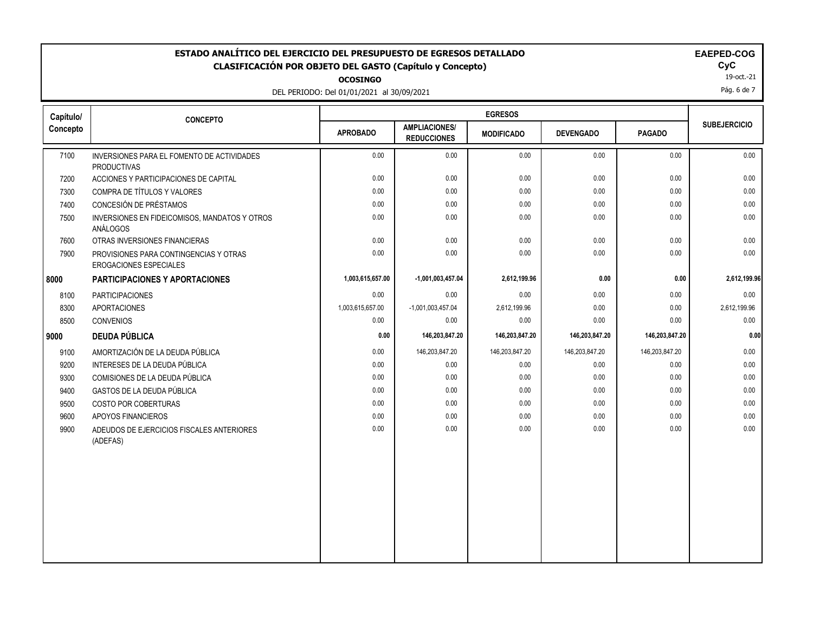DEL PERIODO: Del 01/01/2021 al 30/09/2021

| OCOSINGO |  |  |
|----------|--|--|
|          |  |  |

| Capítulo/ | <b>CONCEPTO</b>                                                         | <b>EGRESOS</b>   |                                            |                   |                  |                |                     |
|-----------|-------------------------------------------------------------------------|------------------|--------------------------------------------|-------------------|------------------|----------------|---------------------|
| Concepto  |                                                                         | <b>APROBADO</b>  | <b>AMPLIACIONES/</b><br><b>REDUCCIONES</b> | <b>MODIFICADO</b> | <b>DEVENGADO</b> | <b>PAGADO</b>  | <b>SUBEJERCICIO</b> |
| 7100      | INVERSIONES PARA EL FOMENTO DE ACTIVIDADES<br><b>PRODUCTIVAS</b>        | 0.00             | 0.00                                       | 0.00              | 0.00             | 0.00           | 0.00                |
| 7200      | ACCIONES Y PARTICIPACIONES DE CAPITAL                                   | 0.00             | 0.00                                       | 0.00              | 0.00             | 0.00           | 0.00                |
| 7300      | COMPRA DE TÍTULOS Y VALORES                                             | 0.00             | 0.00                                       | 0.00              | 0.00             | 0.00           | 0.00                |
| 7400      | CONCESIÓN DE PRÉSTAMOS                                                  | 0.00             | 0.00                                       | 0.00              | 0.00             | 0.00           | 0.00                |
| 7500      | INVERSIONES EN FIDEICOMISOS, MANDATOS Y OTROS<br>ANÁLOGOS               | 0.00             | 0.00                                       | 0.00              | 0.00             | 0.00           | 0.00                |
| 7600      | OTRAS INVERSIONES FINANCIERAS                                           | 0.00             | 0.00                                       | 0.00              | 0.00             | 0.00           | 0.00                |
| 7900      | PROVISIONES PARA CONTINGENCIAS Y OTRAS<br><b>EROGACIONES ESPECIALES</b> | 0.00             | 0.00                                       | 0.00              | 0.00             | 0.00           | 0.00                |
| 8000      | PARTICIPACIONES Y APORTACIONES                                          | 1,003,615,657.00 | -1,001,003,457.04                          | 2,612,199.96      | 0.00             | 0.00           | 2,612,199.96        |
| 8100      | <b>PARTICIPACIONES</b>                                                  | 0.00             | 0.00                                       | 0.00              | 0.00             | 0.00           | 0.00                |
| 8300      | <b>APORTACIONES</b>                                                     | 1,003,615,657.00 | $-1,001,003,457.04$                        | 2,612,199.96      | 0.00             | 0.00           | 2,612,199.96        |
| 8500      | <b>CONVENIOS</b>                                                        | 0.00             | 0.00                                       | 0.00              | 0.00             | 0.00           | 0.00                |
| 9000      | <b>DEUDA PÚBLICA</b>                                                    | 0.00             | 146,203,847.20                             | 146,203,847.20    | 146,203,847.20   | 146,203,847.20 | 0.00                |
| 9100      | AMORTIZACIÓN DE LA DEUDA PÚBLICA                                        | 0.00             | 146,203,847.20                             | 146,203,847.20    | 146,203,847.20   | 146,203,847.20 | 0.00                |
| 9200      | INTERESES DE LA DEUDA PÚBLICA                                           | 0.00             | 0.00                                       | 0.00              | 0.00             | 0.00           | 0.00                |
| 9300      | COMISIONES DE LA DEUDA PÚBLICA                                          | 0.00             | 0.00                                       | 0.00              | 0.00             | 0.00           | 0.00                |
| 9400      | GASTOS DE LA DEUDA PÚBLICA                                              | 0.00             | 0.00                                       | 0.00              | 0.00             | 0.00           | 0.00                |
| 9500      | COSTO POR COBERTURAS                                                    | 0.00             | 0.00                                       | 0.00              | 0.00             | 0.00           | 0.00                |
| 9600      | APOYOS FINANCIEROS                                                      | 0.00             | 0.00                                       | 0.00              | 0.00             | 0.00           | 0.00                |
| 9900      | ADEUDOS DE EJERCICIOS FISCALES ANTERIORES<br>(ADEFAS)                   | 0.00             | 0.00                                       | 0.00              | 0.00             | 0.00           | 0.00                |
|           |                                                                         |                  |                                            |                   |                  |                |                     |
|           |                                                                         |                  |                                            |                   |                  |                |                     |
|           |                                                                         |                  |                                            |                   |                  |                |                     |
|           |                                                                         |                  |                                            |                   |                  |                |                     |
|           |                                                                         |                  |                                            |                   |                  |                |                     |

19-oct.-21

Pág. 6 de 7